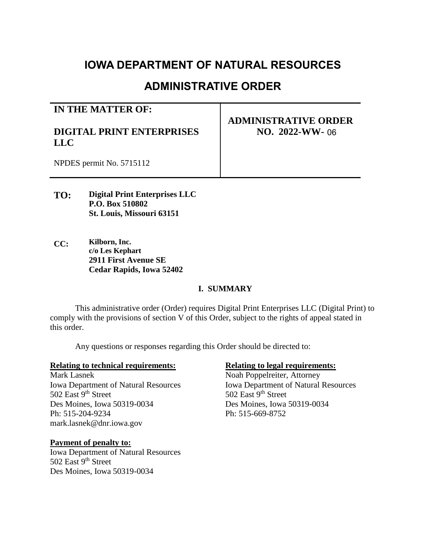# **IOWA DEPARTMENT OF NATURAL RESOURCES**

# **ADMINISTRATIVE ORDER**

#### **IN THE MATTER OF:**

# **DIGITAL PRINT ENTERPRISES LLC**

# **ADMINISTRATIVE ORDER NO. 2022-WW-**06

NPDES permit No. 5715112

- **TO: Digital Print Enterprises LLC P.O. Box 510802 St. Louis, Missouri 63151**
- **CC: Kilborn, Inc. c/o Les Kephart 2911 First Avenue SE Cedar Rapids, Iowa 52402**

#### **I. SUMMARY**

This administrative order (Order) requires Digital Print Enterprises LLC (Digital Print) to comply with the provisions of section V of this Order, subject to the rights of appeal stated in this order.

Any questions or responses regarding this Order should be directed to:

#### **Relating to technical requirements: Relating to legal requirements:**

Iowa Department of Natural Resources Iowa Department of Natural Resources 502 East 9<sup>th</sup> Street 502 East 9<sup>th</sup> Street Des Moines, Iowa 50319-0034 Des Moines, Iowa 50319-0034 Ph: 515-204-9234 Ph: 515-669-8752 mark.lasnek@dnr.iowa.gov

#### **Payment of penalty to:**

Iowa Department of Natural Resources 502 East 9<sup>th</sup> Street Des Moines, Iowa 50319-0034

Mark Lasnek Noah Poppelreiter, Attorney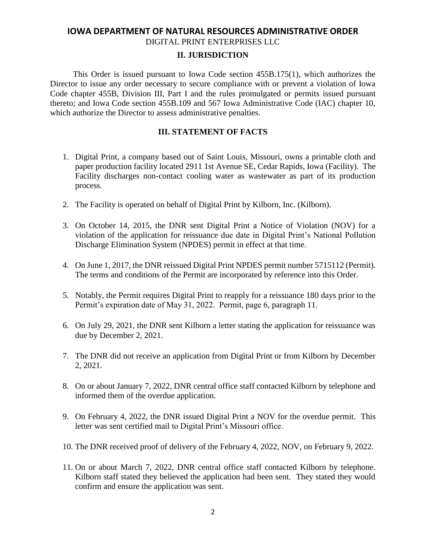# **IOWA DEPARTMENT OF NATURAL RESOURCES ADMINISTRATIVE ORDER**

## DIGITAL PRINT ENTERPRISES LLC

#### **II. JURISDICTION**

 This Order is issued pursuant to Iowa Code section 455B.175(1), which authorizes the Director to issue any order necessary to secure compliance with or prevent a violation of Iowa Code chapter 455B, Division III, Part I and the rules promulgated or permits issued pursuant thereto; and Iowa Code section 455B.109 and 567 Iowa Administrative Code (IAC) chapter 10, which authorize the Director to assess administrative penalties.

#### **III. STATEMENT OF FACTS**

- 1. Digital Print, a company based out of Saint Louis, Missouri, owns a printable cloth and paper production facility located 2911 1st Avenue SE, Cedar Rapids, Iowa (Facility). The Facility discharges non-contact cooling water as wastewater as part of its production process.
- 2. The Facility is operated on behalf of Digital Print by Kilborn, Inc. (Kilborn).
- 3. On October 14, 2015, the DNR sent Digital Print a Notice of Violation (NOV) for a violation of the application for reissuance due date in Digital Print's National Pollution Discharge Elimination System (NPDES) permit in effect at that time.
- 4. On June 1, 2017, the DNR reissued Digital Print NPDES permit number 5715112 (Permit). The terms and conditions of the Permit are incorporated by reference into this Order.
- 5. Notably, the Permit requires Digital Print to reapply for a reissuance 180 days prior to the Permit's expiration date of May 31, 2022. Permit, page 6, paragraph 11.
- 6. On July 29, 2021, the DNR sent Kilborn a letter stating the application for reissuance was due by December 2, 2021.
- 7. The DNR did not receive an application from Digital Print or from Kilborn by December 2, 2021.
- 8. On or about January 7, 2022, DNR central office staff contacted Kilborn by telephone and informed them of the overdue application.
- 9. On February 4, 2022, the DNR issued Digital Print a NOV for the overdue permit. This letter was sent certified mail to Digital Print's Missouri office.
- 10. The DNR received proof of delivery of the February 4, 2022, NOV, on February 9, 2022.
- 11. On or about March 7, 2022, DNR central office staff contacted Kilborn by telephone. Kilborn staff stated they believed the application had been sent. They stated they would confirm and ensure the application was sent.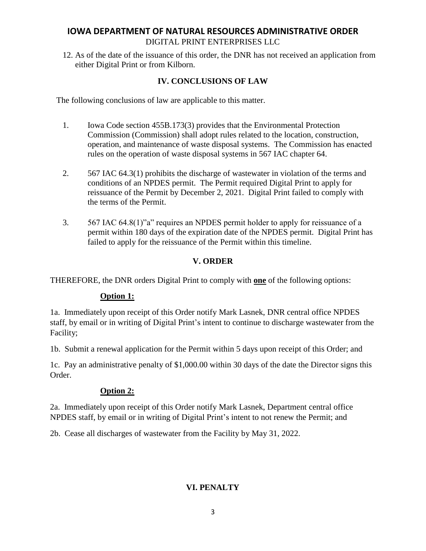# **IOWA DEPARTMENT OF NATURAL RESOURCES ADMINISTRATIVE ORDER** DIGITAL PRINT ENTERPRISES LLC

12. As of the date of the issuance of this order, the DNR has not received an application from either Digital Print or from Kilborn.

### **IV. CONCLUSIONS OF LAW**

The following conclusions of law are applicable to this matter.

- 1. Iowa Code section 455B.173(3) provides that the Environmental Protection Commission (Commission) shall adopt rules related to the location, construction, operation, and maintenance of waste disposal systems. The Commission has enacted rules on the operation of waste disposal systems in 567 IAC chapter 64.
- 2. 567 IAC 64.3(1) prohibits the discharge of wastewater in violation of the terms and conditions of an NPDES permit. The Permit required Digital Print to apply for reissuance of the Permit by December 2, 2021. Digital Print failed to comply with the terms of the Permit.
- 3. 567 IAC 64.8(1)"a" requires an NPDES permit holder to apply for reissuance of a permit within 180 days of the expiration date of the NPDES permit. Digital Print has failed to apply for the reissuance of the Permit within this timeline.

#### **V. ORDER**

THEREFORE, the DNR orders Digital Print to comply with **one** of the following options:

#### **Option 1:**

1a. Immediately upon receipt of this Order notify Mark Lasnek, DNR central office NPDES staff, by email or in writing of Digital Print's intent to continue to discharge wastewater from the Facility;

1b. Submit a renewal application for the Permit within 5 days upon receipt of this Order; and

1c. Pay an administrative penalty of \$1,000.00 within 30 days of the date the Director signs this Order.

#### **Option 2:**

2a. Immediately upon receipt of this Order notify Mark Lasnek, Department central office NPDES staff, by email or in writing of Digital Print's intent to not renew the Permit; and

2b. Cease all discharges of wastewater from the Facility by May 31, 2022.

#### **VI. PENALTY**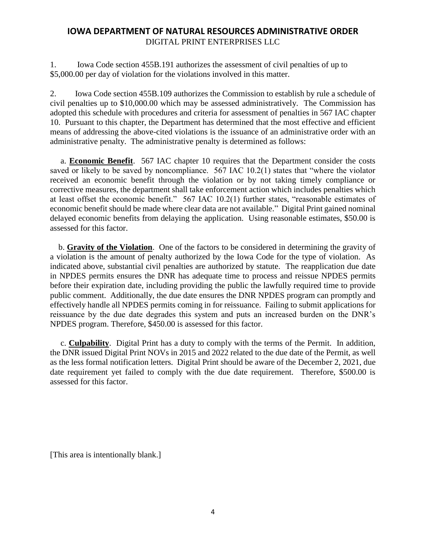# **IOWA DEPARTMENT OF NATURAL RESOURCES ADMINISTRATIVE ORDER** DIGITAL PRINT ENTERPRISES LLC

1. Iowa Code section 455B.191 authorizes the assessment of civil penalties of up to \$5,000.00 per day of violation for the violations involved in this matter.

2. Iowa Code section 455B.109 authorizes the Commission to establish by rule a schedule of civil penalties up to \$10,000.00 which may be assessed administratively. The Commission has adopted this schedule with procedures and criteria for assessment of penalties in 567 IAC chapter 10. Pursuant to this chapter, the Department has determined that the most effective and efficient means of addressing the above-cited violations is the issuance of an administrative order with an administrative penalty. The administrative penalty is determined as follows:

 a. **Economic Benefit**. 567 IAC chapter 10 requires that the Department consider the costs saved or likely to be saved by noncompliance. 567 IAC 10.2(1) states that "where the violator received an economic benefit through the violation or by not taking timely compliance or corrective measures, the department shall take enforcement action which includes penalties which at least offset the economic benefit." 567 IAC 10.2(1) further states, "reasonable estimates of economic benefit should be made where clear data are not available." Digital Print gained nominal delayed economic benefits from delaying the application. Using reasonable estimates, \$50.00 is assessed for this factor.

 b. **Gravity of the Violation**. One of the factors to be considered in determining the gravity of a violation is the amount of penalty authorized by the Iowa Code for the type of violation. As indicated above, substantial civil penalties are authorized by statute. The reapplication due date in NPDES permits ensures the DNR has adequate time to process and reissue NPDES permits before their expiration date, including providing the public the lawfully required time to provide public comment. Additionally, the due date ensures the DNR NPDES program can promptly and effectively handle all NPDES permits coming in for reissuance. Failing to submit applications for reissuance by the due date degrades this system and puts an increased burden on the DNR's NPDES program. Therefore, \$450.00 is assessed for this factor.

 c. **Culpability**. Digital Print has a duty to comply with the terms of the Permit. In addition, the DNR issued Digital Print NOVs in 2015 and 2022 related to the due date of the Permit, as well as the less formal notification letters. Digital Print should be aware of the December 2, 2021, due date requirement yet failed to comply with the due date requirement. Therefore, \$500.00 is assessed for this factor.

[This area is intentionally blank.]